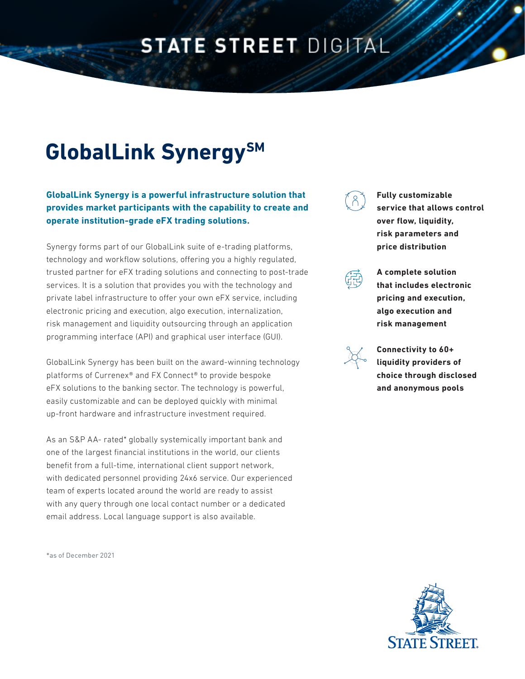# **STATE STREET DIGITAL**

# **GlobalLink Synergy**SM

**GlobalLink Synergy is a powerful infrastructure solution that provides market participants with the capability to create and operate institution-grade eFX trading solutions.**

Synergy forms part of our GlobalLink suite of e-trading platforms, technology and workflow solutions, offering you a highly regulated, trusted partner for eFX trading solutions and connecting to post-trade services. It is a solution that provides you with the technology and private label infrastructure to offer your own eFX service, including electronic pricing and execution, algo execution, internalization, risk management and liquidity outsourcing through an application programming interface (API) and graphical user interface (GUI).

GlobalLink Synergy has been built on the award-winning technology platforms of Currenex® and FX Connect® to provide bespoke eFX solutions to the banking sector. The technology is powerful, easily customizable and can be deployed quickly with minimal up-front hardware and infrastructure investment required.

As an S&P AA- rated\* globally systemically important bank and one of the largest financial institutions in the world, our clients benefit from a full-time, international client support network, with dedicated personnel providing 24x6 service. Our experienced team of experts located around the world are ready to assist with any query through one local contact number or a dedicated email address. Local language support is also available.

\*as of December 2021

**Fully customizable service that allows control over flow, liquidity, risk parameters and price distribution** 



**A complete solution that includes electronic pricing and execution, algo execution and risk management**



**Connectivity to 60+ liquidity providers of choice through disclosed and anonymous pools**

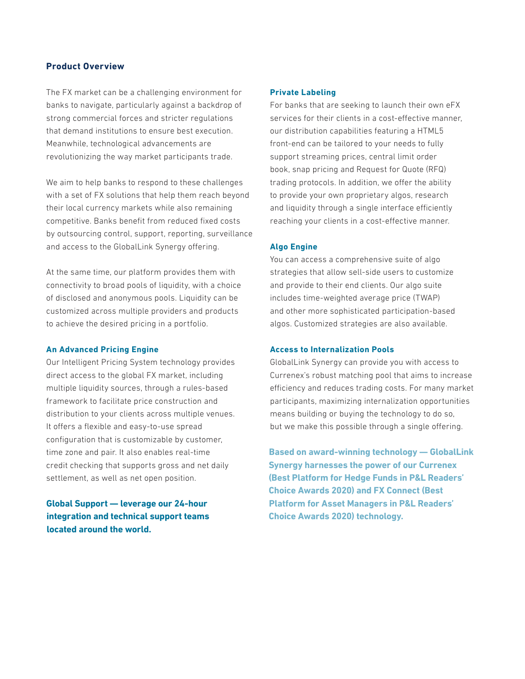# **Product Overview**

The FX market can be a challenging environment for banks to navigate, particularly against a backdrop of strong commercial forces and stricter regulations that demand institutions to ensure best execution. Meanwhile, technological advancements are revolutionizing the way market participants trade.

We aim to help banks to respond to these challenges with a set of FX solutions that help them reach beyond their local currency markets while also remaining competitive. Banks benefit from reduced fixed costs by outsourcing control, support, reporting, surveillance and access to the GlobalLink Synergy offering.

At the same time, our platform provides them with connectivity to broad pools of liquidity, with a choice of disclosed and anonymous pools. Liquidity can be customized across multiple providers and products to achieve the desired pricing in a portfolio.

### **An Advanced Pricing Engine**

Our Intelligent Pricing System technology provides direct access to the global FX market, including multiple liquidity sources, through a rules-based framework to facilitate price construction and distribution to your clients across multiple venues. It offers a flexible and easy-to-use spread configuration that is customizable by customer, time zone and pair. It also enables real-time credit checking that supports gross and net daily settlement, as well as net open position.

**Global Support — leverage our 24-hour integration and technical support teams located around the world.**

### **Private Labeling**

For banks that are seeking to launch their own eFX services for their clients in a cost-effective manner, our distribution capabilities featuring a HTML5 front-end can be tailored to your needs to fully support streaming prices, central limit order book, snap pricing and Request for Quote (RFQ) trading protocols. In addition, we offer the ability to provide your own proprietary algos, research and liquidity through a single interface efficiently reaching your clients in a cost-effective manner.

# **Algo Engine**

You can access a comprehensive suite of algo strategies that allow sell-side users to customize and provide to their end clients. Our algo suite includes time-weighted average price (TWAP) and other more sophisticated participation-based algos. Customized strategies are also available.

# **Access to Internalization Pools**

GlobalLink Synergy can provide you with access to Currenex's robust matching pool that aims to increase efficiency and reduces trading costs. For many market participants, maximizing internalization opportunities means building or buying the technology to do so, but we make this possible through a single offering.

**Based on award-winning technology — GlobalLink Synergy harnesses the power of our Currenex (Best Platform for Hedge Funds in P&L Readers' Choice Awards 2020) and FX Connect (Best Platform for Asset Managers in P&L Readers' Choice Awards 2020) technology.**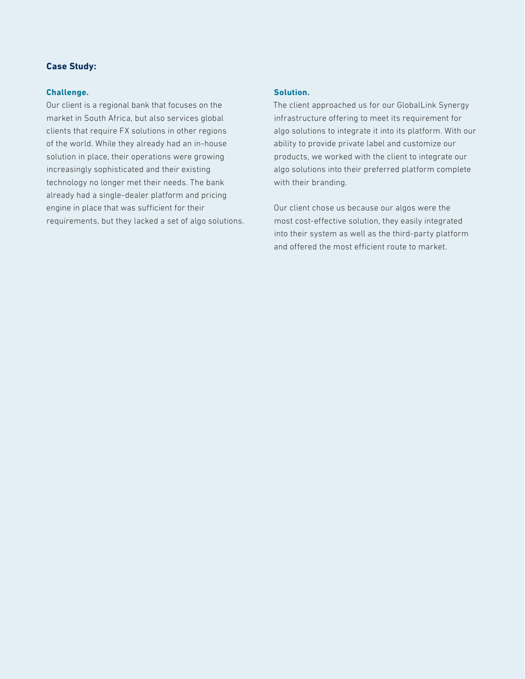# **Case Study:**

### **Challenge.**

Our client is a regional bank that focuses on the market in South Africa, but also services global clients that require FX solutions in other regions of the world. While they already had an in-house solution in place, their operations were growing increasingly sophisticated and their existing technology no longer met their needs. The bank already had a single-dealer platform and pricing engine in place that was sufficient for their requirements, but they lacked a set of algo solutions.

# **Solution.**

The client approached us for our GlobalLink Synergy infrastructure offering to meet its requirement for algo solutions to integrate it into its platform. With our ability to provide private label and customize our products, we worked with the client to integrate our algo solutions into their preferred platform complete with their branding.

Our client chose us because our algos were the most cost-effective solution, they easily integrated into their system as well as the third-party platform and offered the most efficient route to market.